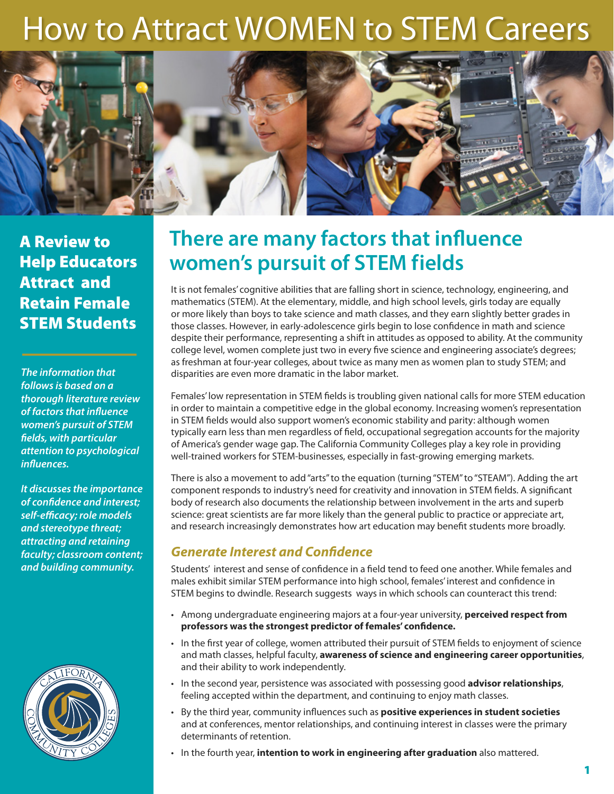# How to Attract WOMEN to STEM Careers



A Review to Help Educators Attract and Retain Female STEM Students

*The information that follows is based on a thorough literature review of factors that influence women's pursuit of STEM fields, with particular attention to psychological influences.* 

*It discusses the importance of confidence and interest; self-efficacy; role models and stereotype threat; attracting and retaining faculty; classroom content; and building community.*



# **There are many factors that influence women's pursuit of STEM fields**

It is not females' cognitive abilities that are falling short in science, technology, engineering, and mathematics (STEM). At the elementary, middle, and high school levels, girls today are equally or more likely than boys to take science and math classes, and they earn slightly better grades in those classes. However, in early-adolescence girls begin to lose confidence in math and science despite their performance, representing a shift in attitudes as opposed to ability. At the community college level, women complete just two in every five science and engineering associate's degrees; as freshman at four-year colleges, about twice as many men as women plan to study STEM; and disparities are even more dramatic in the labor market.

Females' low representation in STEM fields is troubling given national calls for more STEM education in order to maintain a competitive edge in the global economy. Increasing women's representation in STEM fields would also support women's economic stability and parity: although women typically earn less than men regardless of field, occupational segregation accounts for the majority of America's gender wage gap. The California Community Colleges play a key role in providing well-trained workers for STEM-businesses, especially in fast-growing emerging markets.

There is also a movement to add "arts" to the equation (turning "STEM" to "STEAM"). Adding the art component responds to industry's need for creativity and innovation in STEM fields. A significant body of research also documents the relationship between involvement in the arts and superb science: great scientists are far more likely than the general public to practice or appreciate art, and research increasingly demonstrates how art education may benefit students more broadly.

### *Generate Interest and Confidence*

Students' interest and sense of confidence in a field tend to feed one another. While females and males exhibit similar STEM performance into high school, females' interest and confidence in STEM begins to dwindle. Research suggests ways in which schools can counteract this trend:

- Among undergraduate engineering majors at a four-year university, **perceived respect from professors was the strongest predictor of females' confidence.**
- In the first year of college, women attributed their pursuit of STEM fields to enjoyment of science and math classes, helpful faculty, **awareness of science and engineering career opportunities**, and their ability to work independently.
- In the second year, persistence was associated with possessing good **advisor relationships**, feeling accepted within the department, and continuing to enjoy math classes.
- By the third year, community influences such as **positive experiences in student societies** and at conferences, mentor relationships, and continuing interest in classes were the primary determinants of retention.
- In the fourth year, **intention to work in engineering after graduation** also mattered.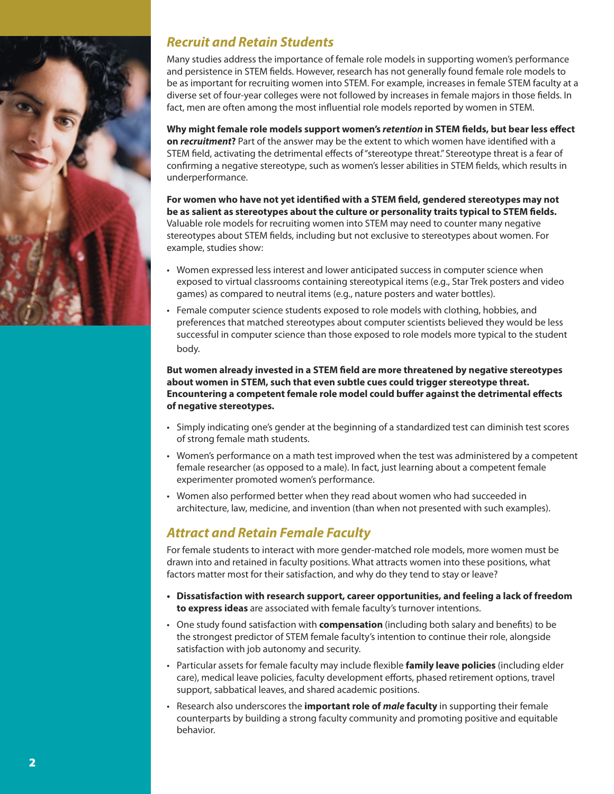

#### *Recruit and Retain Students*

Many studies address the importance of female role models in supporting women's performance and persistence in STEM fields. However, research has not generally found female role models to be as important for recruiting women into STEM. For example, increases in female STEM faculty at a diverse set of four-year colleges were not followed by increases in female majors in those fields. In fact, men are often among the most influential role models reported by women in STEM.

**Why might female role models support women's** *retention* **in STEM fields, but bear less effect on** *recruitment***?** Part of the answer may be the extent to which women have identified with a STEM field, activating the detrimental effects of "stereotype threat." Stereotype threat is a fear of confirming a negative stereotype, such as women's lesser abilities in STEM fields, which results in underperformance.

**For women who have not yet identified with a STEM field, gendered stereotypes may not be as salient as stereotypes about the culture or personality traits typical to STEM fields.**  Valuable role models for recruiting women into STEM may need to counter many negative stereotypes about STEM fields, including but not exclusive to stereotypes about women. For example, studies show:

- Women expressed less interest and lower anticipated success in computer science when exposed to virtual classrooms containing stereotypical items (e.g., Star Trek posters and video games) as compared to neutral items (e.g., nature posters and water bottles).
- Female computer science students exposed to role models with clothing, hobbies, and preferences that matched stereotypes about computer scientists believed they would be less successful in computer science than those exposed to role models more typical to the student body.

**But women already invested in a STEM field are more threatened by negative stereotypes about women in STEM, such that even subtle cues could trigger stereotype threat. Encountering a competent female role model could buffer against the detrimental effects of negative stereotypes.** 

- Simply indicating one's gender at the beginning of a standardized test can diminish test scores of strong female math students.
- Women's performance on a math test improved when the test was administered by a competent female researcher (as opposed to a male). In fact, just learning about a competent female experimenter promoted women's performance.
- Women also performed better when they read about women who had succeeded in architecture, law, medicine, and invention (than when not presented with such examples).

### *Attract and Retain Female Faculty*

For female students to interact with more gender-matched role models, more women must be drawn into and retained in faculty positions. What attracts women into these positions, what factors matter most for their satisfaction, and why do they tend to stay or leave?

- **• Dissatisfaction with research support, career opportunities, and feeling a lack of freedom to express ideas** are associated with female faculty's turnover intentions.
- One study found satisfaction with **compensation** (including both salary and benefits) to be the strongest predictor of STEM female faculty's intention to continue their role, alongside satisfaction with job autonomy and security.
- Particular assets for female faculty may include flexible **family leave policies** (including elder care), medical leave policies, faculty development efforts, phased retirement options, travel support, sabbatical leaves, and shared academic positions.
- Research also underscores the **important role of** *male* **faculty** in supporting their female counterparts by building a strong faculty community and promoting positive and equitable behavior.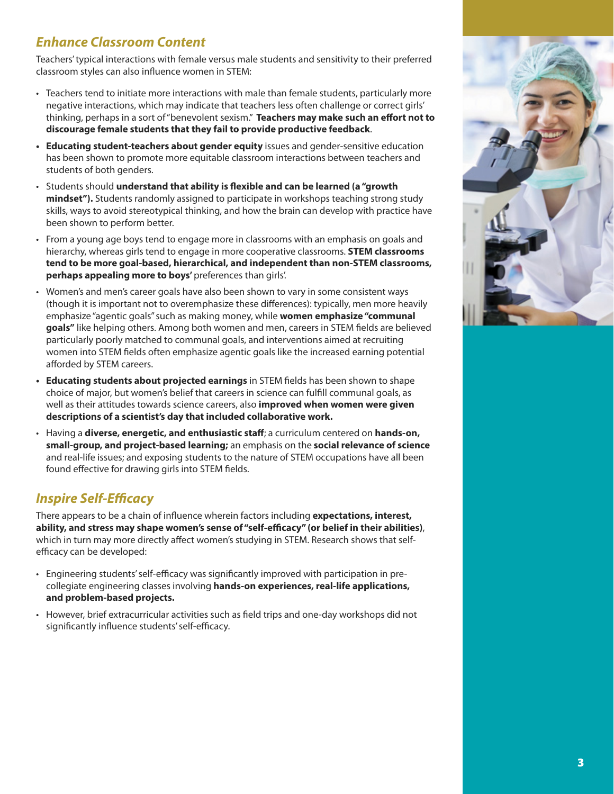# *Enhance Classroom Content*

Teachers' typical interactions with female versus male students and sensitivity to their preferred classroom styles can also influence women in STEM:

- Teachers tend to initiate more interactions with male than female students, particularly more negative interactions, which may indicate that teachers less often challenge or correct girls' thinking, perhaps in a sort of "benevolent sexism." **Teachers may make such an effort not to discourage female students that they fail to provide productive feedback**.
- **• Educating student-teachers about gender equity** issues and gender-sensitive education has been shown to promote more equitable classroom interactions between teachers and students of both genders.
- Students should **understand that ability is flexible and can be learned (a "growth mindset").** Students randomly assigned to participate in workshops teaching strong study skills, ways to avoid stereotypical thinking, and how the brain can develop with practice have been shown to perform better.
- From a young age boys tend to engage more in classrooms with an emphasis on goals and hierarchy, whereas girls tend to engage in more cooperative classrooms. **STEM classrooms tend to be more goal-based, hierarchical, and independent than non-STEM classrooms, perhaps appealing more to boys'** preferences than girls'.
- Women's and men's career goals have also been shown to vary in some consistent ways (though it is important not to overemphasize these differences): typically, men more heavily emphasize "agentic goals" such as making money, while **women emphasize "communal goals"** like helping others. Among both women and men, careers in STEM fields are believed particularly poorly matched to communal goals, and interventions aimed at recruiting women into STEM fields often emphasize agentic goals like the increased earning potential afforded by STEM careers.
- **• Educating students about projected earnings** in STEM fields has been shown to shape choice of major, but women's belief that careers in science can fulfill communal goals, as well as their attitudes towards science careers, also **improved when women were given descriptions of a scientist's day that included collaborative work.**
- Having a **diverse, energetic, and enthusiastic staff**; a curriculum centered on **hands-on, small-group, and project-based learning;** an emphasis on the **social relevance of science** and real-life issues; and exposing students to the nature of STEM occupations have all been found effective for drawing girls into STEM fields.

#### *Inspire Self-Efficacy*

There appears to be a chain of influence wherein factors including **expectations, interest, ability, and stress may shape women's sense of "self-efficacy" (or belief in their abilities)**, which in turn may more directly affect women's studying in STEM. Research shows that selfefficacy can be developed:

- Engineering students' self-efficacy was significantly improved with participation in precollegiate engineering classes involving **hands-on experiences, real-life applications, and problem-based projects.**
- However, brief extracurricular activities such as field trips and one-day workshops did not significantly influence students' self-efficacy.